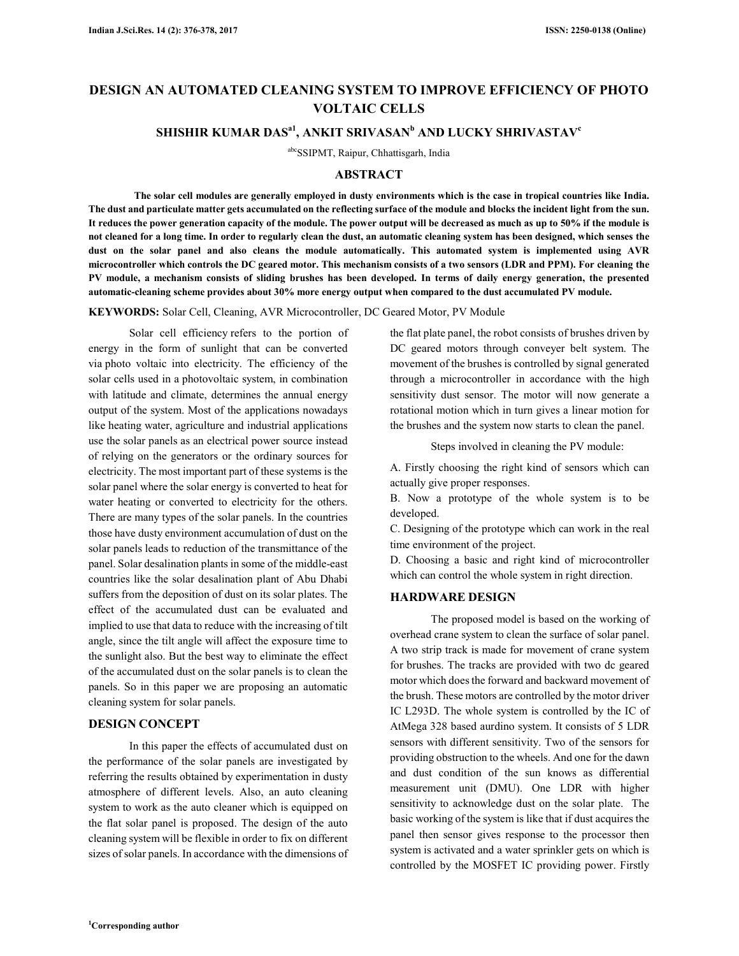# **DESIGN AN AUTOMATED CLEANING SYSTEM TO IMPROVE EFFICIENCY OF PHOTO VOLTAIC CELLS**

## **SHISHIR KUMAR DASa1, ANKIT SRIVASAN<sup>b</sup> AND LUCKY SHRIVASTAV<sup>c</sup>**

abcSSIPMT, Raipur, Chhattisgarh, India

#### **ABSTRACT**

**The solar cell modules are generally employed in dusty environments which is the case in tropical countries like India. The dust and particulate matter gets accumulated on the reflecting surface of the module and blocks the incident light from the sun. It reduces the power generation capacity of the module. The power output will be decreased as much as up to 50% if the module is not cleaned for a long time. In order to regularly clean the dust, an automatic cleaning system has been designed, which senses the dust on the solar panel and also cleans the module automatically. This automated system is implemented using AVR microcontroller which controls the DC geared motor. This mechanism consists of a two sensors (LDR and PPM). For cleaning the PV module, a mechanism consists of sliding brushes has been developed. In terms of daily energy generation, the presented automatic-cleaning scheme provides about 30% more energy output when compared to the dust accumulated PV module.** 

**KEYWORDS:** Solar Cell, Cleaning, AVR Microcontroller, DC Geared Motor, PV Module

Solar cell efficiency refers to the portion of energy in the form of sunlight that can be converted via photo voltaic into electricity. The efficiency of the solar cells used in a photovoltaic system, in combination with latitude and climate, determines the annual energy output of the system. Most of the applications nowadays like heating water, agriculture and industrial applications use the solar panels as an electrical power source instead of relying on the generators or the ordinary sources for electricity. The most important part of these systems is the solar panel where the solar energy is converted to heat for water heating or converted to electricity for the others. There are many types of the solar panels. In the countries those have dusty environment accumulation of dust on the solar panels leads to reduction of the transmittance of the panel. Solar desalination plants in some of the middle-east countries like the solar desalination plant of Abu Dhabi suffers from the deposition of dust on its solar plates. The effect of the accumulated dust can be evaluated and implied to use that data to reduce with the increasing of tilt angle, since the tilt angle will affect the exposure time to the sunlight also. But the best way to eliminate the effect of the accumulated dust on the solar panels is to clean the panels. So in this paper we are proposing an automatic cleaning system for solar panels.

#### **DESIGN CONCEPT**

In this paper the effects of accumulated dust on the performance of the solar panels are investigated by referring the results obtained by experimentation in dusty atmosphere of different levels. Also, an auto cleaning system to work as the auto cleaner which is equipped on the flat solar panel is proposed. The design of the auto cleaning system will be flexible in order to fix on different sizes of solar panels. In accordance with the dimensions of the flat plate panel, the robot consists of brushes driven by DC geared motors through conveyer belt system. The movement of the brushes is controlled by signal generated through a microcontroller in accordance with the high sensitivity dust sensor. The motor will now generate a rotational motion which in turn gives a linear motion for the brushes and the system now starts to clean the panel.

Steps involved in cleaning the PV module:

A. Firstly choosing the right kind of sensors which can actually give proper responses.

B. Now a prototype of the whole system is to be developed.

C. Designing of the prototype which can work in the real time environment of the project.

D. Choosing a basic and right kind of microcontroller which can control the whole system in right direction.

#### **HARDWARE DESIGN**

The proposed model is based on the working of overhead crane system to clean the surface of solar panel. A two strip track is made for movement of crane system for brushes. The tracks are provided with two dc geared motor which does the forward and backward movement of the brush. These motors are controlled by the motor driver IC L293D. The whole system is controlled by the IC of AtMega 328 based aurdino system. It consists of 5 LDR sensors with different sensitivity. Two of the sensors for providing obstruction to the wheels. And one for the dawn and dust condition of the sun knows as differential measurement unit (DMU). One LDR with higher sensitivity to acknowledge dust on the solar plate. The basic working of the system is like that if dust acquires the panel then sensor gives response to the processor then system is activated and a water sprinkler gets on which is controlled by the MOSFET IC providing power. Firstly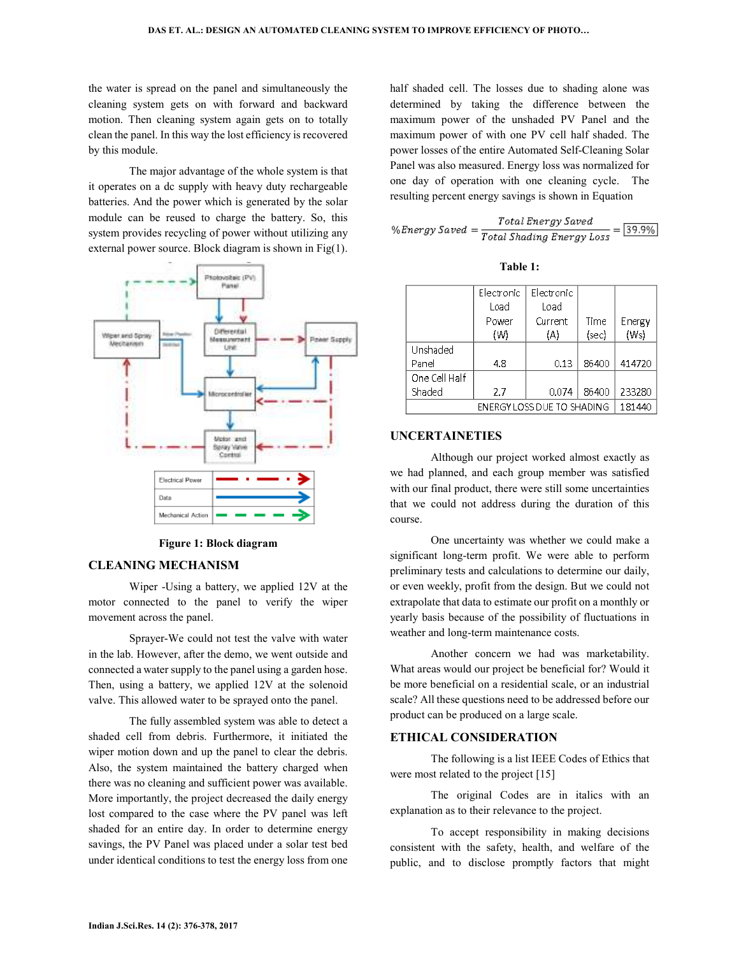the water is spread on the panel and simultaneously the cleaning system gets on with forward and backward motion. Then cleaning system again gets on to totally clean the panel. In this way the lost efficiency is recovered by this module.

The major advantage of the whole system is that it operates on a dc supply with heavy duty rechargeable batteries. And the power which is generated by the solar module can be reused to charge the battery. So, this system provides recycling of power without utilizing any external power source. Block diagram is shown in Fig(1).



**Figure 1: Block diagram** 

#### **CLEANING MECHANISM**

Wiper -Using a battery, we applied 12V at the motor connected to the panel to verify the wiper movement across the panel.

Sprayer-We could not test the valve with water in the lab. However, after the demo, we went outside and connected a water supply to the panel using a garden hose. Then, using a battery, we applied 12V at the solenoid valve. This allowed water to be sprayed onto the panel.

The fully assembled system was able to detect a shaded cell from debris. Furthermore, it initiated the wiper motion down and up the panel to clear the debris. Also, the system maintained the battery charged when there was no cleaning and sufficient power was available. More importantly, the project decreased the daily energy lost compared to the case where the PV panel was left shaded for an entire day. In order to determine energy savings, the PV Panel was placed under a solar test bed under identical conditions to test the energy loss from one

half shaded cell. The losses due to shading alone was determined by taking the difference between the maximum power of the unshaded PV Panel and the maximum power of with one PV cell half shaded. The power losses of the entire Automated Self-Cleaning Solar Panel was also measured. Energy loss was normalized for one day of operation with one cleaning cycle. The resulting percent energy savings is shown in Equation

$$
\%Energy \,Saved = \frac{Total \,Energy \,Saved}{Total \,Shading \, Energy \, Loss} = \boxed{39.9\%}
$$

|                            | Electronic | Electronic |       |        |
|----------------------------|------------|------------|-------|--------|
|                            | Load       | Load       |       |        |
|                            | Power      | Current    | Time  | Energy |
|                            | (W)        | (A)        | (sec) | (Ws)   |
| Unshaded                   |            |            |       |        |
| Panel                      | 4.8        | 0.13       | 86400 | 414720 |
| One Cell Half              |            |            |       |        |
| Shaded                     | 2.7        | 0.074      | 86400 | 233280 |
| ENERGY LOSS DUE TO SHADING |            |            |       | 181440 |

#### **Table 1:**

#### **UNCERTAINETIES**

Although our project worked almost exactly as we had planned, and each group member was satisfied with our final product, there were still some uncertainties that we could not address during the duration of this course.

One uncertainty was whether we could make a significant long-term profit. We were able to perform preliminary tests and calculations to determine our daily, or even weekly, profit from the design. But we could not extrapolate that data to estimate our profit on a monthly or yearly basis because of the possibility of fluctuations in weather and long-term maintenance costs.

Another concern we had was marketability. What areas would our project be beneficial for? Would it be more beneficial on a residential scale, or an industrial scale? All these questions need to be addressed before our product can be produced on a large scale.

### **ETHICAL CONSIDERATION**

The following is a list IEEE Codes of Ethics that were most related to the project [15]

The original Codes are in italics with an explanation as to their relevance to the project.

To accept responsibility in making decisions consistent with the safety, health, and welfare of the public, and to disclose promptly factors that might